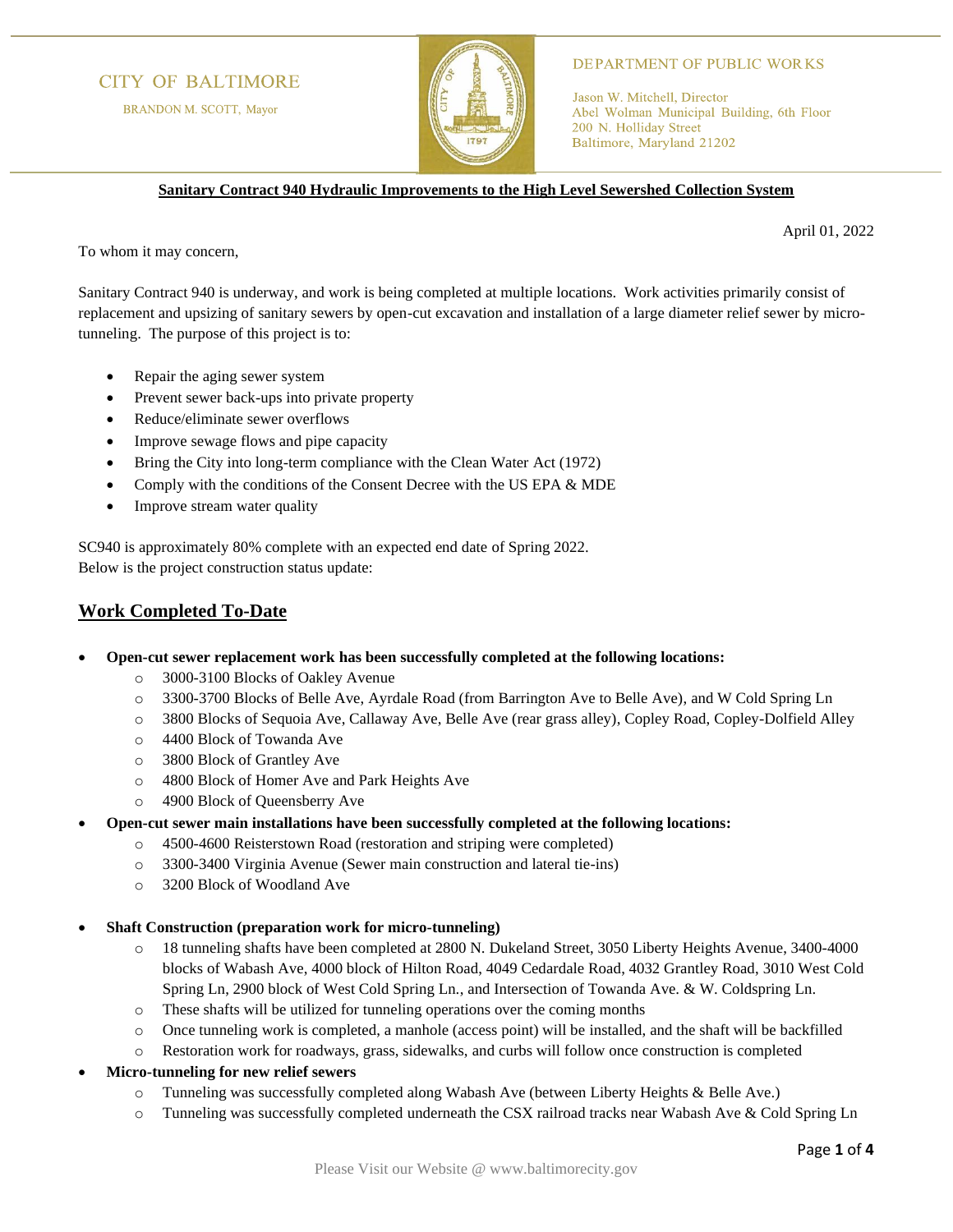# **CITY OF BALTIMORE**

BRANDON M. SCOTT, Mayor



### **DEPARTMENT OF PUBLIC WORKS**

Jason W. Mitchell, Director Abel Wolman Municipal Building, 6th Floor 200 N. Holliday Street Baltimore, Maryland 21202

**Sanitary Contract 940 Hydraulic Improvements to the High Level Sewershed Collection System**

April 01, 2022

To whom it may concern,

Sanitary Contract 940 is underway, and work is being completed at multiple locations. Work activities primarily consist of replacement and upsizing of sanitary sewers by open-cut excavation and installation of a large diameter relief sewer by microtunneling. The purpose of this project is to:

- Repair the aging sewer system
- Prevent sewer back-ups into private property
- Reduce/eliminate sewer overflows
- Improve sewage flows and pipe capacity
- Bring the City into long-term compliance with the Clean Water Act (1972)
- Comply with the conditions of the Consent Decree with the US EPA & MDE
- Improve stream water quality

SC940 is approximately 80% complete with an expected end date of Spring 2022. Below is the project construction status update:

### **Work Completed To-Date**

### • **Open-cut sewer replacement work has been successfully completed at the following locations:**

- o 3000-3100 Blocks of Oakley Avenue
- o 3300-3700 Blocks of Belle Ave, Ayrdale Road (from Barrington Ave to Belle Ave), and W Cold Spring Ln
- o 3800 Blocks of Sequoia Ave, Callaway Ave, Belle Ave (rear grass alley), Copley Road, Copley-Dolfield Alley
- o 4400 Block of Towanda Ave
- o 3800 Block of Grantley Ave
- o 4800 Block of Homer Ave and Park Heights Ave
- o 4900 Block of Queensberry Ave
- **Open-cut sewer main installations have been successfully completed at the following locations:**
	- o 4500-4600 Reisterstown Road (restoration and striping were completed)
	- o 3300-3400 Virginia Avenue (Sewer main construction and lateral tie-ins)
	- o 3200 Block of Woodland Ave
- **Shaft Construction (preparation work for micro-tunneling)**
	- o 18 tunneling shafts have been completed at 2800 N. Dukeland Street, 3050 Liberty Heights Avenue, 3400-4000 blocks of Wabash Ave, 4000 block of Hilton Road, 4049 Cedardale Road, 4032 Grantley Road, 3010 West Cold Spring Ln, 2900 block of West Cold Spring Ln., and Intersection of Towanda Ave. & W. Coldspring Ln.
	- o These shafts will be utilized for tunneling operations over the coming months
	- $\circ$  Once tunneling work is completed, a manhole (access point) will be installed, and the shaft will be backfilled
	- o Restoration work for roadways, grass, sidewalks, and curbs will follow once construction is completed
- **Micro-tunneling for new relief sewers**
	- o Tunneling was successfully completed along Wabash Ave (between Liberty Heights & Belle Ave.)
	- o Tunneling was successfully completed underneath the CSX railroad tracks near Wabash Ave & Cold Spring Ln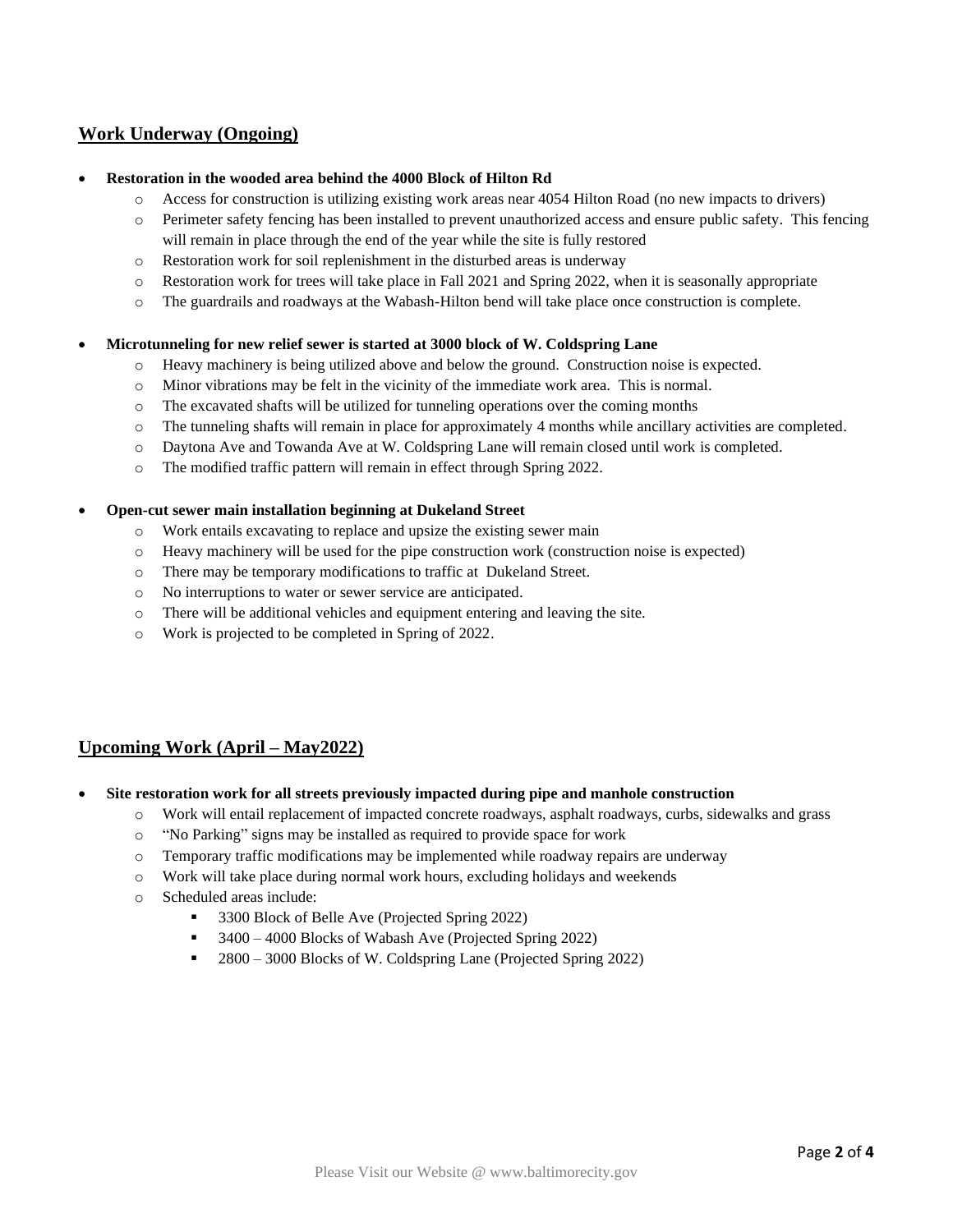# **Work Underway (Ongoing)**

### • **Restoration in the wooded area behind the 4000 Block of Hilton Rd**

- o Access for construction is utilizing existing work areas near 4054 Hilton Road (no new impacts to drivers)
- o Perimeter safety fencing has been installed to prevent unauthorized access and ensure public safety. This fencing will remain in place through the end of the year while the site is fully restored
- o Restoration work for soil replenishment in the disturbed areas is underway
- o Restoration work for trees will take place in Fall 2021 and Spring 2022, when it is seasonally appropriate
- o The guardrails and roadways at the Wabash-Hilton bend will take place once construction is complete.

#### • **Microtunneling for new relief sewer is started at 3000 block of W. Coldspring Lane**

- o Heavy machinery is being utilized above and below the ground. Construction noise is expected.
- o Minor vibrations may be felt in the vicinity of the immediate work area. This is normal.
- $\circ$  The excavated shafts will be utilized for tunneling operations over the coming months
- o The tunneling shafts will remain in place for approximately 4 months while ancillary activities are completed.
- o Daytona Ave and Towanda Ave at W. Coldspring Lane will remain closed until work is completed.
- o The modified traffic pattern will remain in effect through Spring 2022.

#### • **Open-cut sewer main installation beginning at Dukeland Street**

- o Work entails excavating to replace and upsize the existing sewer main
- o Heavy machinery will be used for the pipe construction work (construction noise is expected)
- o There may be temporary modifications to traffic at Dukeland Street.
- o No interruptions to water or sewer service are anticipated.
- o There will be additional vehicles and equipment entering and leaving the site.
- o Work is projected to be completed in Spring of 2022.

## **Upcoming Work (April – May2022)**

- **Site restoration work for all streets previously impacted during pipe and manhole construction**
	- o Work will entail replacement of impacted concrete roadways, asphalt roadways, curbs, sidewalks and grass
	- o "No Parking" signs may be installed as required to provide space for work
	- o Temporary traffic modifications may be implemented while roadway repairs are underway
	- o Work will take place during normal work hours, excluding holidays and weekends
	- o Scheduled areas include:
		- 3300 Block of Belle Ave (Projected Spring 2022)
		- 3400 4000 Blocks of Wabash Ave (Projected Spring 2022)
		- 2800 3000 Blocks of W. Coldspring Lane (Projected Spring 2022)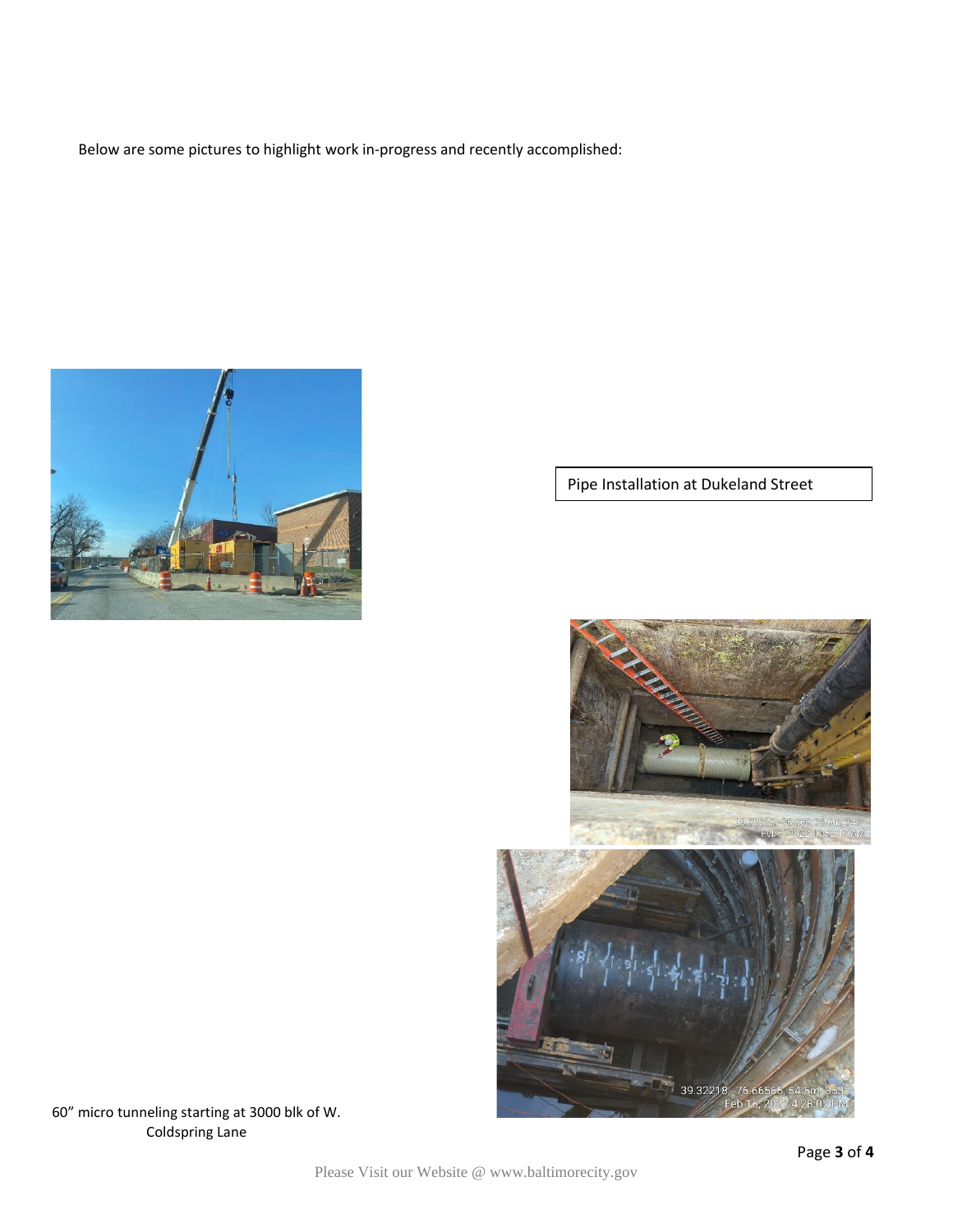Below are some pictures to highlight work in-progress and recently accomplished:



Pipe Installation at Dukeland Street



60" micro tunneling starting at 3000 blk of W. Coldspring Lane